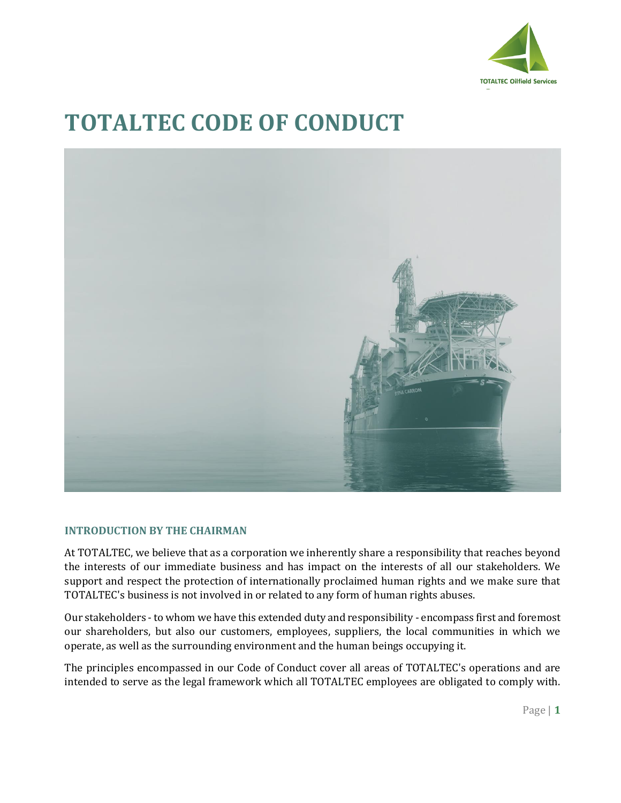

# **TOTALTEC CODE OF CONDUCT**



### **INTRODUCTION BY THE CHAIRMAN**

At TOTALTEC, we believe that as a corporation we inherently share a responsibility that reaches beyond the interests of our immediate business and has impact on the interests of all our stakeholders. We support and respect the protection of internationally proclaimed human rights and we make sure that TOTALTEC's business is not involved in or related to any form of human rights abuses.

Our stakeholders - to whom we have this extended duty and responsibility - encompass first and foremost our shareholders, but also our customers, employees, suppliers, the local communities in which we operate, as well as the surrounding environment and the human beings occupying it.

The principles encompassed in our Code of Conduct cover all areas of TOTALTEC's operations and are intended to serve as the legal framework which all TOTALTEC employees are obligated to comply with.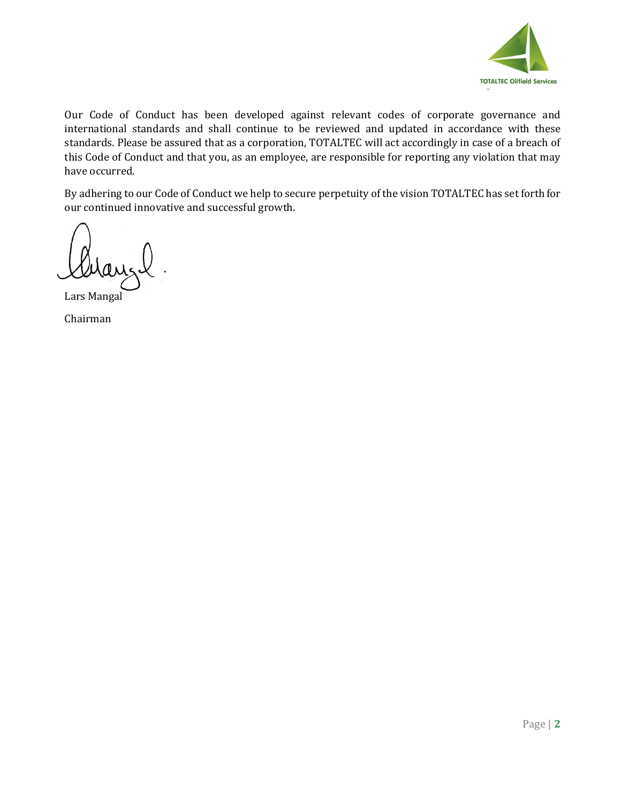

Our Code of Conduct has been developed against relevant codes of corporate governance and international standards and shall continue to be reviewed and updated in accordance with these standards. Please be assured that as a corporation, TOTALTEC will act accordingly in case of a breach of this Code of Conduct and that you, as an employee, are responsible for reporting any violation that may have occurred.

By adhering to our Code of Conduct we help to secure perpetuity of the vision TOTALTEC has set forth for our continued innovative and successful growth.

Lars Mangal

Chairman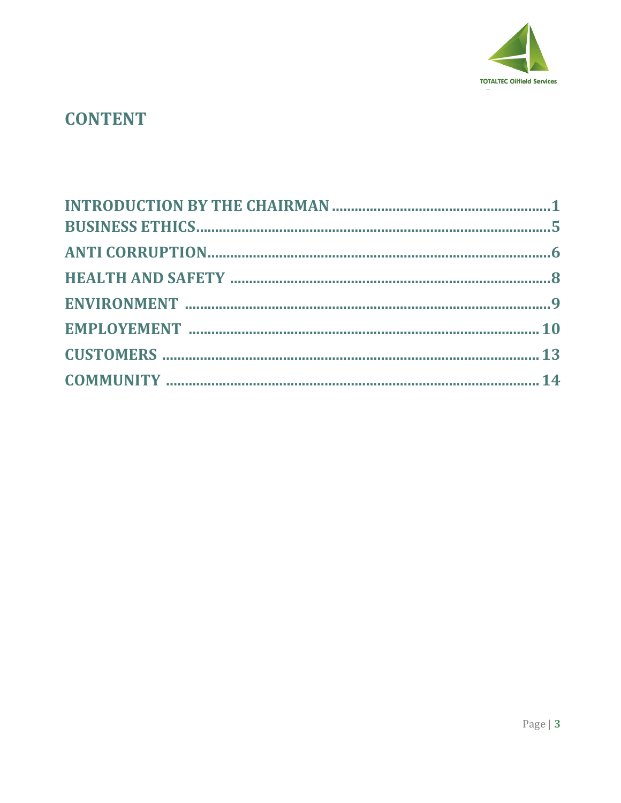

# **CONTENT**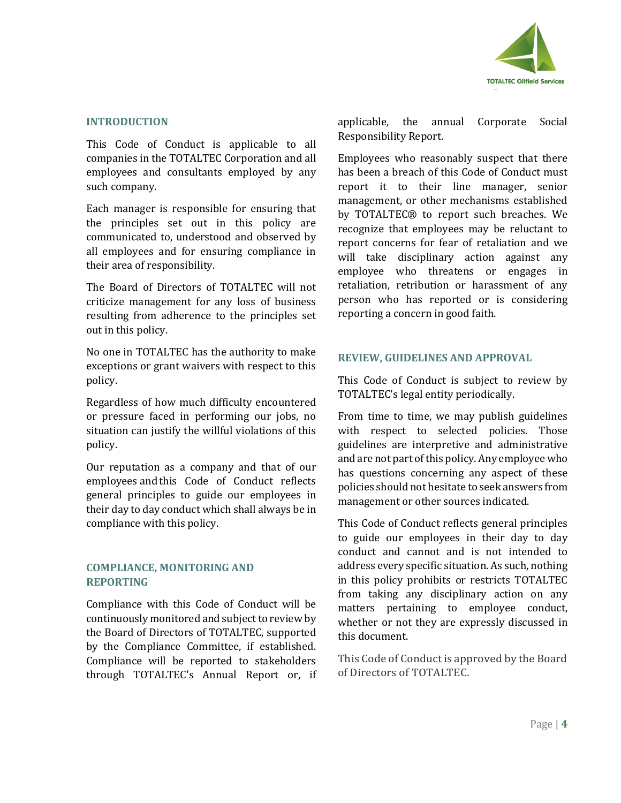

#### **INTRODUCTION**

This Code of Conduct is applicable to all companies in the TOTALTEC Corporation and all employees and consultants employed by any such company.

Each manager is responsible for ensuring that the principles set out in this policy are communicated to, understood and observed by all employees and for ensuring compliance in their area of responsibility.

The Board of Directors of TOTALTEC will not criticize management for any loss of business resulting from adherence to the principles set out in this policy.

No one in TOTALTEC has the authority to make exceptions or grant waivers with respect to this policy.

Regardless of how much difficulty encountered or pressure faced in performing our jobs, no situation can justify the willful violations of this policy.

Our reputation as a company and that of our employees andthis Code of Conduct reflects general principles to guide our employees in their day to day conduct which shall always be in compliance with this policy.

#### **COMPLIANCE, MONITORING AND REPORTING**

Compliance with this Code of Conduct will be continuously monitored and subject to review by the Board of Directors of TOTALTEC, supported by the Compliance Committee, if established. Compliance will be reported to stakeholders through TOTALTEC's Annual Report or, if applicable, the annual Corporate Social Responsibility Report.

Employees who reasonably suspect that there has been a breach of this Code of Conduct must report it to their line manager, senior management, or other mechanisms established by TOTALTEC® to report such breaches. We recognize that employees may be reluctant to report concerns for fear of retaliation and we will take disciplinary action against any employee who threatens or engages in retaliation, retribution or harassment of any person who has reported or is considering reporting a concern in good faith.

#### **REVIEW, GUIDELINES AND APPROVAL**

This Code of Conduct is subject to review by TOTALTEC's legal entity periodically.

From time to time, we may publish guidelines with respect to selected policies. Those guidelines are interpretive and administrative and are not part of this policy. Any employee who has questions concerning any aspect of these policies should not hesitate to seek answers from management or other sources indicated.

This Code of Conduct reflects general principles to guide our employees in their day to day conduct and cannot and is not intended to address every specific situation. As such, nothing in this policy prohibits or restricts TOTALTEC from taking any disciplinary action on any matters pertaining to employee conduct, whether or not they are expressly discussed in this document.

This Code of Conduct is approved by the Board of Directors of TOTALTEC.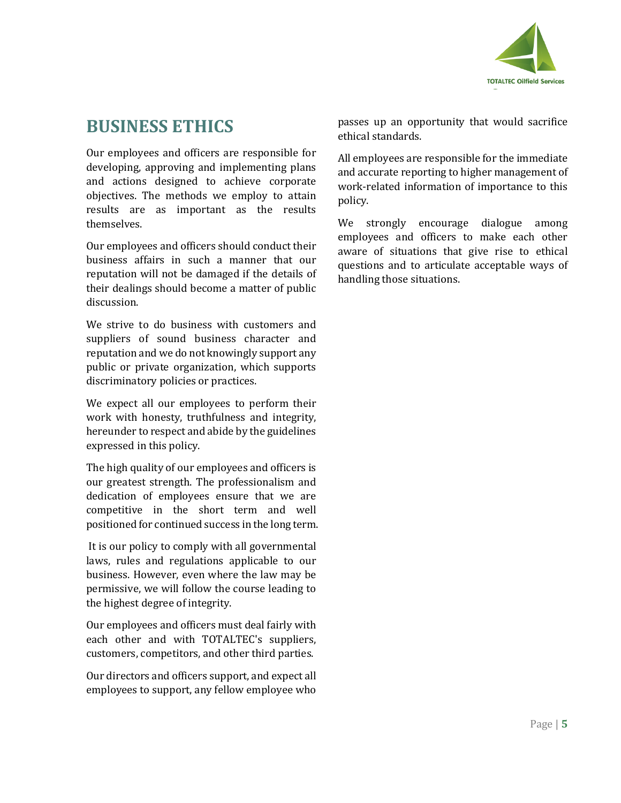

# **BUSINESS ETHICS**

Our employees and officers are responsible for developing, approving and implementing plans and actions designed to achieve corporate objectives. The methods we employ to attain results are as important as the results themselves.

Our employees and officers should conduct their business affairs in such a manner that our reputation will not be damaged if the details of their dealings should become a matter of public discussion.

We strive to do business with customers and suppliers of sound business character and reputation and we do not knowingly support any public or private organization, which supports discriminatory policies or practices.

We expect all our employees to perform their work with honesty, truthfulness and integrity, hereunder to respect and abide by the guidelines expressed in this policy.

The high quality of our employees and officers is our greatest strength. The professionalism and dedication of employees ensure that we are competitive in the short term and well positioned for continued success in the long term.

It is our policy to comply with all governmental laws, rules and regulations applicable to our business. However, even where the law may be permissive, we will follow the course leading to the highest degree of integrity.

Our employees and officers must deal fairly with each other and with TOTALTEC's suppliers, customers, competitors, and other third parties.

Our directors and officers support, and expect all employees to support, any fellow employee who

passes up an opportunity that would sacrifice ethical standards.

All employees are responsible for the immediate and accurate reporting to higher management of work-related information of importance to this policy.

We strongly encourage dialogue among employees and officers to make each other aware of situations that give rise to ethical questions and to articulate acceptable ways of handling those situations.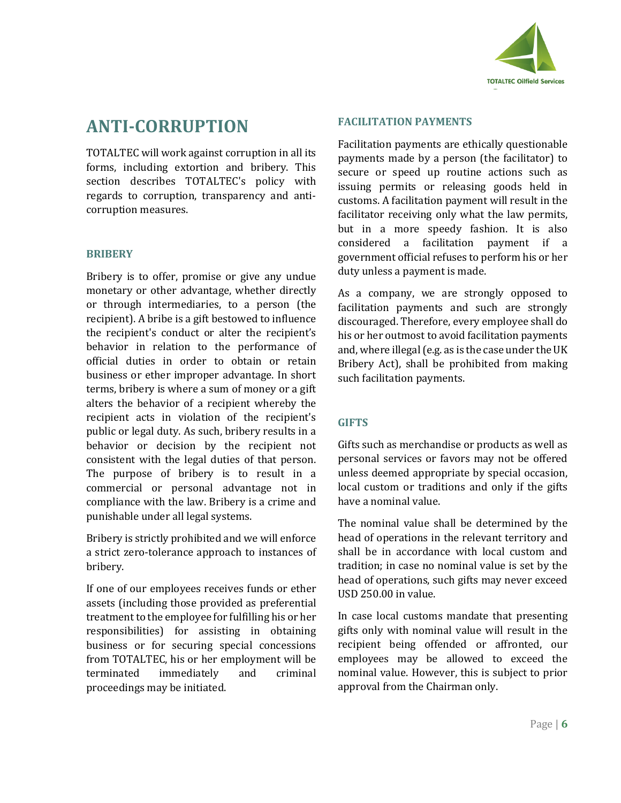

# **ANTI-CORRUPTION**

TOTALTEC will work against corruption in all its forms, including extortion and bribery. This section describes TOTALTEC's policy with regards to corruption, transparency and anticorruption measures.

### **BRIBERY**

Bribery is to offer, promise or give any undue monetary or other advantage, whether directly or through intermediaries, to a person (the recipient). A bribe is a gift bestowed to influence the recipient's conduct or alter the recipient's behavior in relation to the performance of official duties in order to obtain or retain business or ether improper advantage. In short terms, bribery is where a sum of money or a gift alters the behavior of a recipient whereby the recipient acts in violation of the recipient's public or legal duty. As such, bribery results in a behavior or decision by the recipient not consistent with the legal duties of that person. The purpose of bribery is to result in a commercial or personal advantage not in compliance with the law. Bribery is a crime and punishable under all legal systems.

Bribery is strictly prohibited and we will enforce a strict zero-tolerance approach to instances of bribery.

If one of our employees receives funds or ether assets (including those provided as preferential treatment to the employee for fulfilling his or her responsibilities) for assisting in obtaining business or for securing special concessions from TOTALTEC, his or her employment will be terminated immediately and criminal proceedings may be initiated.

#### **FACILITATION PAYMENTS**

Facilitation payments are ethically questionable payments made by a person (the facilitator) to secure or speed up routine actions such as issuing permits or releasing goods held in customs. A facilitation payment will result in the facilitator receiving only what the law permits, but in a more speedy fashion. It is also considered a facilitation payment if a government official refuses to perform his or her duty unless a payment is made.

As a company, we are strongly opposed to facilitation payments and such are strongly discouraged. Therefore, every employee shall do his or her outmost to avoid facilitation payments and, where illegal (e.g. as is the case under the UK Bribery Act), shall be prohibited from making such facilitation payments.

### **GIFTS**

Gifts such as merchandise or products as well as personal services or favors may not be offered unless deemed appropriate by special occasion, local custom or traditions and only if the gifts have a nominal value.

The nominal value shall be determined by the head of operations in the relevant territory and shall be in accordance with local custom and tradition; in case no nominal value is set by the head of operations, such gifts may never exceed USD 250.00 in value.

In case local customs mandate that presenting gifts only with nominal value will result in the recipient being offended or affronted, our employees may be allowed to exceed the nominal value. However, this is subject to prior approval from the Chairman only.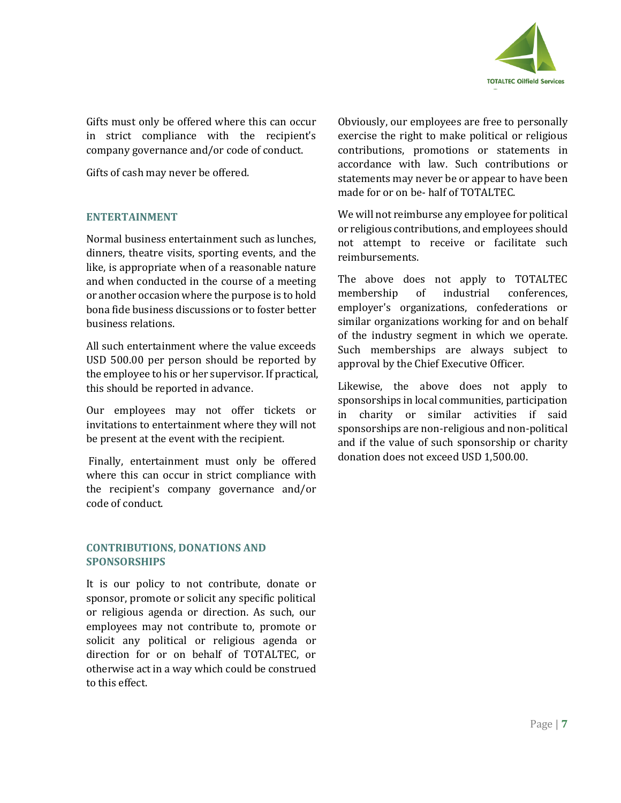

Gifts must only be offered where this can occur in strict compliance with the recipient's company governance and/or code of conduct.

Gifts of cash may never be offered.

### **ENTERTAINMENT**

Normal business entertainment such as lunches, dinners, theatre visits, sporting events, and the like, is appropriate when of a reasonable nature and when conducted in the course of a meeting or another occasion where the purpose is to hold bona fide business discussions or to foster better business relations.

All such entertainment where the value exceeds USD 500.00 per person should be reported by the employee to his or her supervisor. If practical, this should be reported in advance.

Our employees may not offer tickets or invitations to entertainment where they will not be present at the event with the recipient.

Finally, entertainment must only be offered where this can occur in strict compliance with the recipient's company governance and/or code of conduct.

### **CONTRIBUTIONS, DONATIONS AND SPONSORSHIPS**

It is our policy to not contribute, donate or sponsor, promote or solicit any specific political or religious agenda or direction. As such, our employees may not contribute to, promote or solicit any political or religious agenda or direction for or on behalf of TOTALTEC, or otherwise act in a way which could be construed to this effect.

Obviously, our employees are free to personally exercise the right to make political or religious contributions, promotions or statements in accordance with law. Such contributions or statements may never be or appear to have been made for or on be- half of TOTALTEC.

We will not reimburse any employee for political or religious contributions, and employees should not attempt to receive or facilitate such reimbursements.

The above does not apply to TOTALTEC membership of industrial conferences, employer's organizations, confederations or similar organizations working for and on behalf of the industry segment in which we operate. Such memberships are always subject to approval by the Chief Executive Officer.

Likewise, the above does not apply to sponsorships in local communities, participation in charity or similar activities if said sponsorships are non-religious and non-political and if the value of such sponsorship or charity donation does not exceed USD 1,500.00.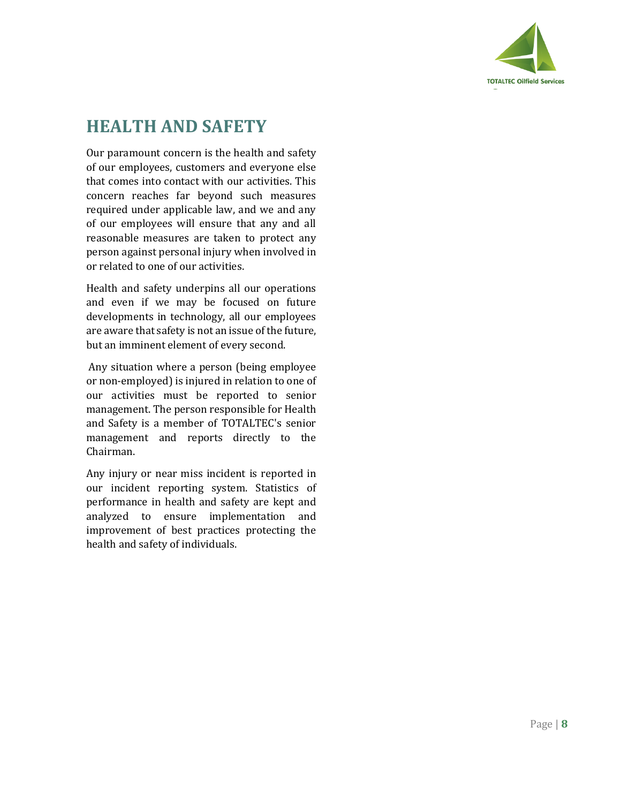

# **HEALTH AND SAFETY**

Our paramount concern is the health and safety of our employees, customers and everyone else that comes into contact with our activities. This concern reaches far beyond such measures required under applicable law, and we and any of our employees will ensure that any and all reasonable measures are taken to protect any person against personal injury when involved in or related to one of our activities.

Health and safety underpins all our operations and even if we may be focused on future developments in technology, all our employees are aware that safety is not an issue of the future, but an imminent element of every second.

Any situation where a person (being employee or non-employed) is injured in relation to one of our activities must be reported to senior management. The person responsible for Health and Safety is a member of TOTALTEC's senior management and reports directly to the Chairman.

Any injury or near miss incident is reported in our incident reporting system. Statistics of performance in health and safety are kept and analyzed to ensure implementation and improvement of best practices protecting the health and safety of individuals.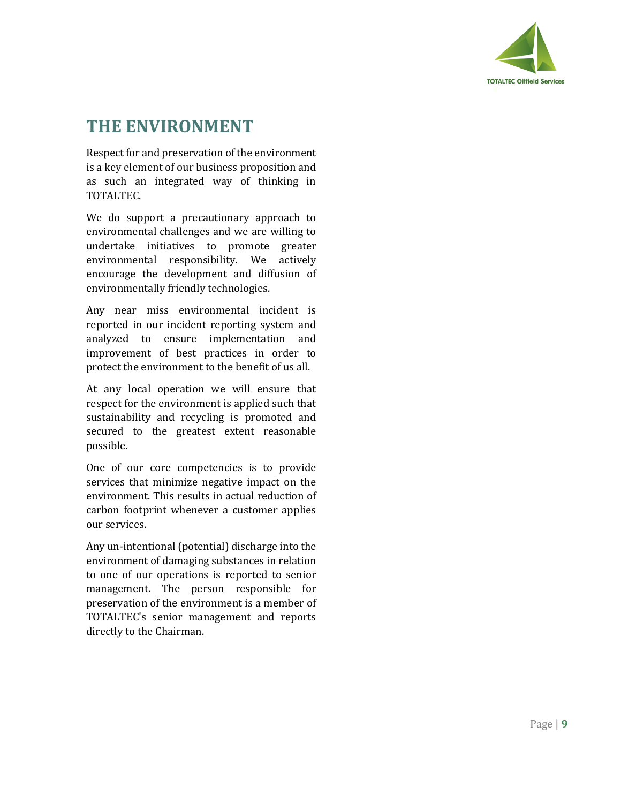

# **THE ENVIRONMENT**

Respect for and preservation of the environment is a key element of our business proposition and as such an integrated way of thinking in TOTALTEC.

We do support a precautionary approach to environmental challenges and we are willing to undertake initiatives to promote greater environmental responsibility. We actively encourage the development and diffusion of environmentally friendly technologies.

Any near miss environmental incident is reported in our incident reporting system and analyzed to ensure implementation and improvement of best practices in order to protect the environment to the benefit of us all.

At any local operation we will ensure that respect for the environment is applied such that sustainability and recycling is promoted and secured to the greatest extent reasonable possible.

One of our core competencies is to provide services that minimize negative impact on the environment. This results in actual reduction of carbon footprint whenever a customer applies our services.

Any un-intentional (potential) discharge into the environment of damaging substances in relation to one of our operations is reported to senior management. The person responsible for preservation of the environment is a member of TOTALTEC's senior management and reports directly to the Chairman.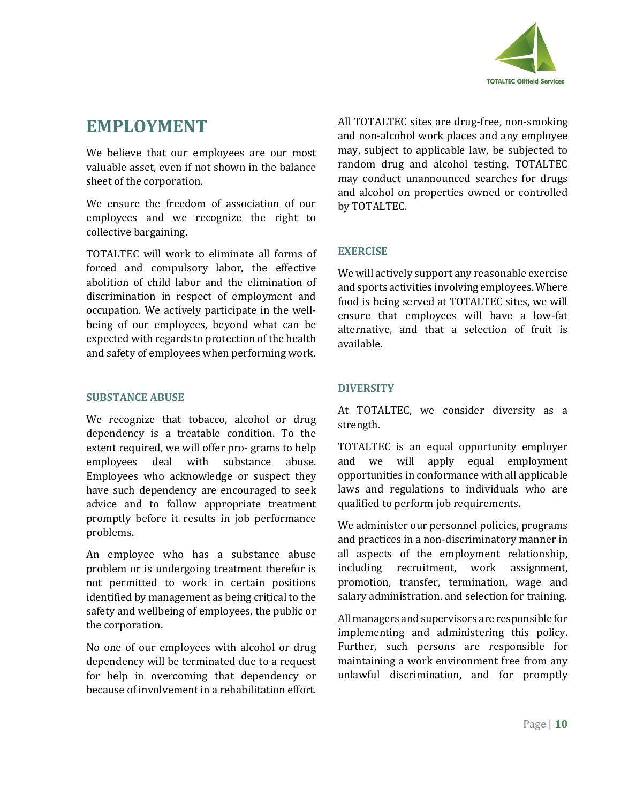

# **EMPLOYMENT**

We believe that our employees are our most valuable asset, even if not shown in the balance sheet of the corporation.

We ensure the freedom of association of our employees and we recognize the right to collective bargaining.

TOTALTEC will work to eliminate all forms of forced and compulsory labor, the effective abolition of child labor and the elimination of discrimination in respect of employment and occupation. We actively participate in the wellbeing of our employees, beyond what can be expected with regards to protection of the health and safety of employees when performing work.

#### **SUBSTANCE ABUSE**

We recognize that tobacco, alcohol or drug dependency is a treatable condition. To the extent required, we will offer pro- grams to help employees deal with substance abuse. Employees who acknowledge or suspect they have such dependency are encouraged to seek advice and to follow appropriate treatment promptly before it results in job performance problems.

An employee who has a substance abuse problem or is undergoing treatment therefor is not permitted to work in certain positions identified by management as being critical to the safety and wellbeing of employees, the public or the corporation.

No one of our employees with alcohol or drug dependency will be terminated due to a request for help in overcoming that dependency or because of involvement in a rehabilitation effort.

All TOTALTEC sites are drug-free, non-smoking and non-alcohol work places and any employee may, subject to applicable law, be subjected to random drug and alcohol testing. TOTALTEC may conduct unannounced searches for drugs and alcohol on properties owned or controlled by TOTALTEC.

### **EXERCISE**

We will actively support any reasonable exercise and sports activities involving employees. Where food is being served at TOTALTEC sites, we will ensure that employees will have a low-fat alternative, and that a selection of fruit is available.

### **DIVERSITY**

At TOTALTEC, we consider diversity as a strength.

TOTALTEC is an equal opportunity employer and we will apply equal employment opportunities in conformance with all applicable laws and regulations to individuals who are qualified to perform job requirements.

We administer our personnel policies, programs and practices in a non-discriminatory manner in all aspects of the employment relationship, including recruitment, work assignment, promotion, transfer, termination, wage and salary administration. and selection for training.

All managers and supervisors are responsible for implementing and administering this policy. Further, such persons are responsible for maintaining a work environment free from any unlawful discrimination, and for promptly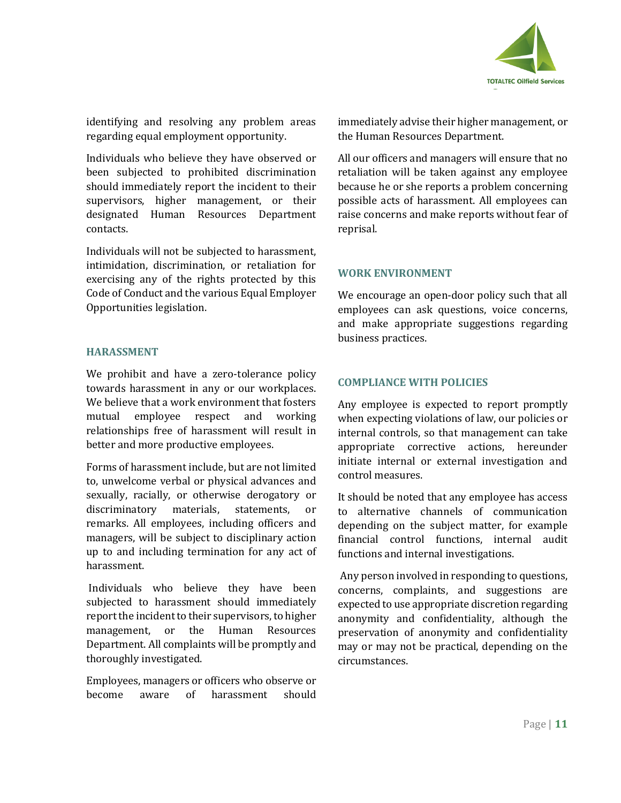

identifying and resolving any problem areas regarding equal employment opportunity.

Individuals who believe they have observed or been subjected to prohibited discrimination should immediately report the incident to their supervisors, higher management, or their designated Human Resources Department contacts.

Individuals will not be subjected to harassment, intimidation, discrimination, or retaliation for exercising any of the rights protected by this Code of Conduct and the various Equal Employer Opportunities legislation.

### **HARASSMENT**

We prohibit and have a zero-tolerance policy towards harassment in any or our workplaces. We believe that a work environment that fosters mutual employee respect and working relationships free of harassment will result in better and more productive employees.

Forms of harassment include, but are not limited to, unwelcome verbal or physical advances and sexually, racially, or otherwise derogatory or discriminatory materials, statements, or remarks. All employees, including officers and managers, will be subject to disciplinary action up to and including termination for any act of harassment.

Individuals who believe they have been subjected to harassment should immediately report the incident to their supervisors, to higher management, or the Human Resources Department. All complaints will be promptly and thoroughly investigated.

Employees, managers or officers who observe or become aware of harassment should immediately advise their higher management, or the Human Resources Department.

All our officers and managers will ensure that no retaliation will be taken against any employee because he or she reports a problem concerning possible acts of harassment. All employees can raise concerns and make reports without fear of reprisal.

### **WORK ENVIRONMENT**

We encourage an open-door policy such that all employees can ask questions, voice concerns, and make appropriate suggestions regarding business practices.

### **COMPLIANCE WITH POLICIES**

Any employee is expected to report promptly when expecting violations of law, our policies or internal controls, so that management can take appropriate corrective actions, hereunder initiate internal or external investigation and control measures.

It should be noted that any employee has access to alternative channels of communication depending on the subject matter, for example financial control functions, internal audit functions and internal investigations.

Any person involved in responding to questions, concerns, complaints, and suggestions are expected to use appropriate discretion regarding anonymity and confidentiality, although the preservation of anonymity and confidentiality may or may not be practical, depending on the circumstances.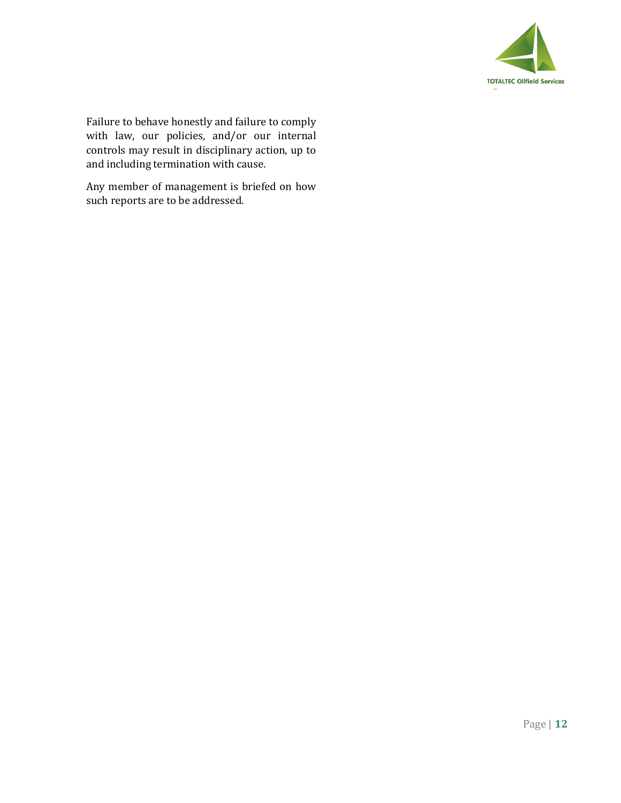

Failure to behave honestly and failure to comply with law, our policies, and/or our internal controls may result in disciplinary action, up to and including termination with cause.

Any member of management is briefed on how such reports are to be addressed.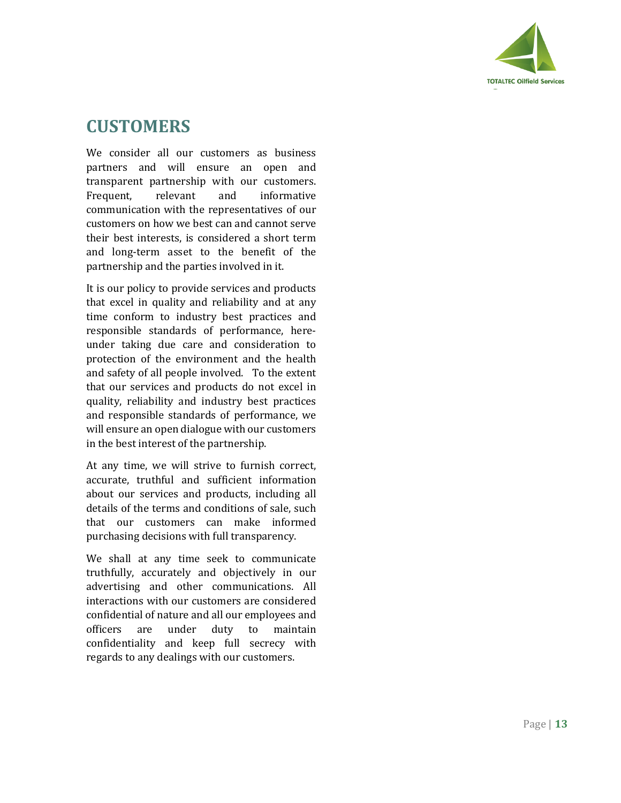

## **CUSTOMERS**

We consider all our customers as business partners and will ensure an open and transparent partnership with our customers. Frequent, relevant and informative communication with the representatives of our customers on how we best can and cannot serve their best interests, is considered a short term and long-term asset to the benefit of the partnership and the parties involved in it.

It is our policy to provide services and products that excel in quality and reliability and at any time conform to industry best practices and responsible standards of performance, hereunder taking due care and consideration to protection of the environment and the health and safety of all people involved. To the extent that our services and products do not excel in quality, reliability and industry best practices and responsible standards of performance, we will ensure an open dialogue with our customers in the best interest of the partnership.

At any time, we will strive to furnish correct, accurate, truthful and sufficient information about our services and products, including all details of the terms and conditions of sale, such that our customers can make informed purchasing decisions with full transparency.

We shall at any time seek to communicate truthfully, accurately and objectively in our advertising and other communications. All interactions with our customers are considered confidential of nature and all our employees and officers are under duty to maintain confidentiality and keep full secrecy with regards to any dealings with our customers.